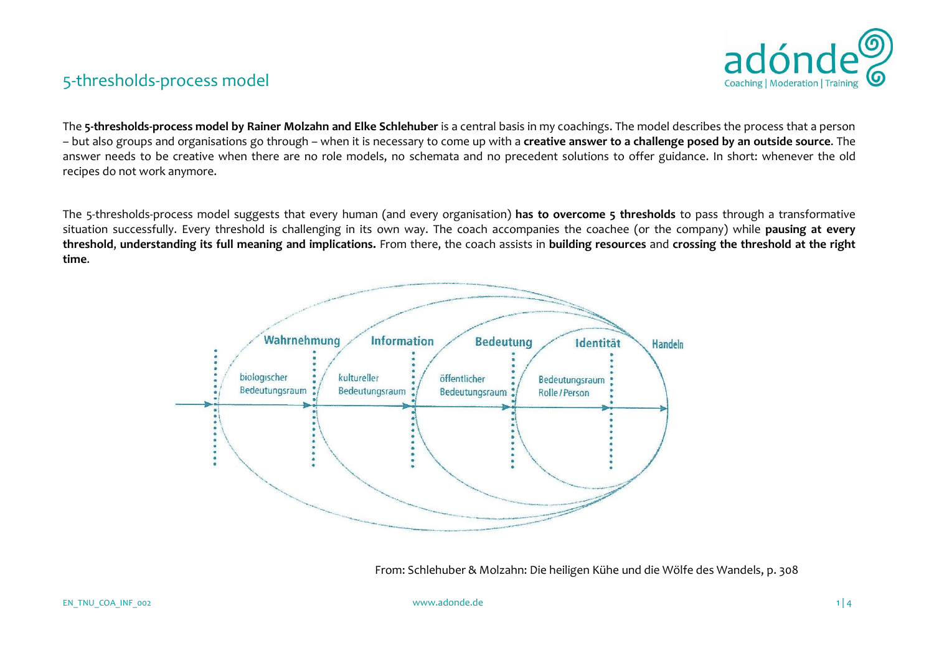

The **5-thresholds-process model by Rainer Molzahn and Elke Schlehuber** is a central basis in my coachings. The model describes the process that a person – but also groups and organisations go through – when it is necessary to come up with a **creative answer to a challenge posed by an outside source**. The answer needs to be creative when there are no role models, no schemata and no precedent solutions to offer guidance. In short: whenever the old recipes do not work anymore.

The 5-thresholds-process model suggests that every human (and every organisation) **has to overcome 5 thresholds** to pass through a transformative situation successfully. Every threshold is challenging in its own way. The coach accompanies the coachee (or the company) while **pausing at every threshold**, **understanding its full meaning and implications.** From there, the coach assists in **building resources** and **crossing the threshold at the right time**.



From: Schlehuber & Molzahn: Die heiligen Kühe und die Wölfe des Wandels, p. 308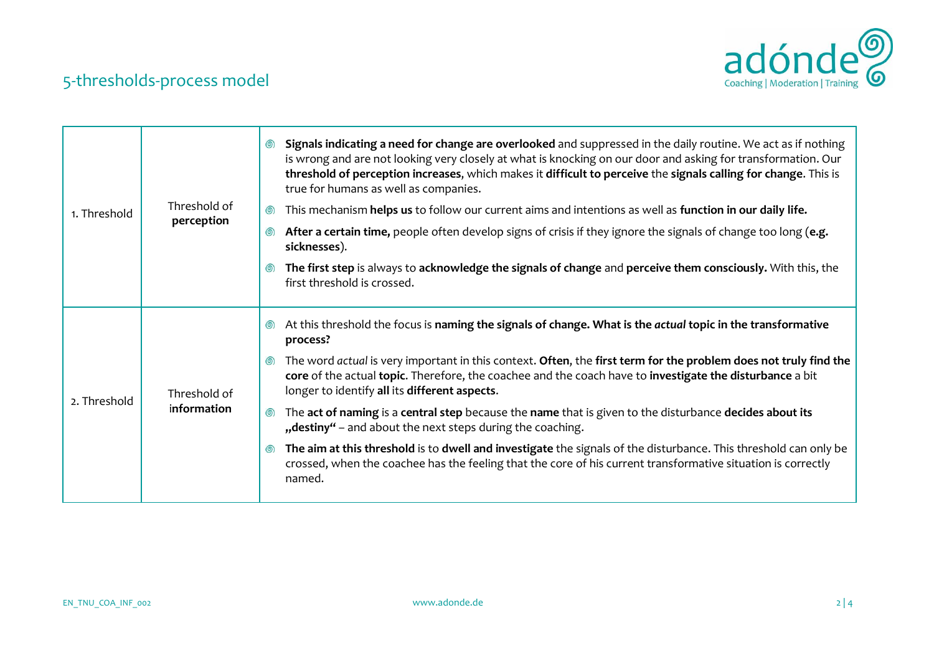

| 1. Threshold | Threshold of<br>perception  | Signals indicating a need for change are overlooked and suppressed in the daily routine. We act as if nothing<br>⊚<br>is wrong and are not looking very closely at what is knocking on our door and asking for transformation. Our<br>threshold of perception increases, which makes it difficult to perceive the signals calling for change. This is<br>true for humans as well as companies.<br>This mechanism helps us to follow our current aims and intentions as well as function in our daily life.<br>◎<br>After a certain time, people often develop signs of crisis if they ignore the signals of change too long (e.g.<br>◎<br>sicknesses).<br>The first step is always to acknowledge the signals of change and perceive them consciously. With this, the<br>$\circledcirc$<br>first threshold is crossed. |
|--------------|-----------------------------|------------------------------------------------------------------------------------------------------------------------------------------------------------------------------------------------------------------------------------------------------------------------------------------------------------------------------------------------------------------------------------------------------------------------------------------------------------------------------------------------------------------------------------------------------------------------------------------------------------------------------------------------------------------------------------------------------------------------------------------------------------------------------------------------------------------------|
| 2. Threshold | Threshold of<br>information |                                                                                                                                                                                                                                                                                                                                                                                                                                                                                                                                                                                                                                                                                                                                                                                                                        |
|              |                             | At this threshold the focus is naming the signals of change. What is the actual topic in the transformative<br>$\circledcirc$<br>process?                                                                                                                                                                                                                                                                                                                                                                                                                                                                                                                                                                                                                                                                              |
|              |                             | The word actual is very important in this context. Often, the first term for the problem does not truly find the<br>$\circledcirc$<br>core of the actual topic. Therefore, the coachee and the coach have to investigate the disturbance a bit<br>longer to identify all its different aspects.                                                                                                                                                                                                                                                                                                                                                                                                                                                                                                                        |
|              |                             | The act of naming is a central step because the name that is given to the disturbance decides about its<br>◎<br>"destiny" - and about the next steps during the coaching.                                                                                                                                                                                                                                                                                                                                                                                                                                                                                                                                                                                                                                              |
|              |                             | The aim at this threshold is to dwell and investigate the signals of the disturbance. This threshold can only be<br>$\circledcirc$<br>crossed, when the coachee has the feeling that the core of his current transformative situation is correctly<br>named.                                                                                                                                                                                                                                                                                                                                                                                                                                                                                                                                                           |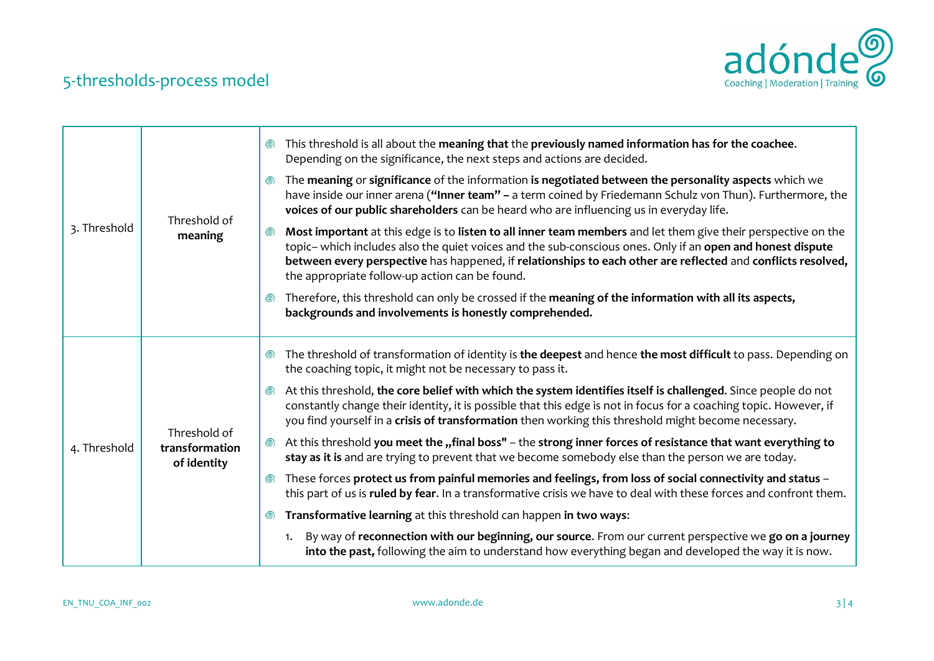

| 3. Threshold | Threshold of<br>meaning                       | This threshold is all about the meaning that the previously named information has for the coachee.<br>◎<br>Depending on the significance, the next steps and actions are decided.                                                                                                                                                                                                                  |
|--------------|-----------------------------------------------|----------------------------------------------------------------------------------------------------------------------------------------------------------------------------------------------------------------------------------------------------------------------------------------------------------------------------------------------------------------------------------------------------|
|              |                                               | The meaning or significance of the information is negotiated between the personality aspects which we<br>◎<br>have inside our inner arena ("Inner team" - a term coined by Friedemann Schulz von Thun). Furthermore, the<br>voices of our public shareholders can be heard who are influencing us in everyday life.                                                                                |
|              |                                               | Most important at this edge is to listen to all inner team members and let them give their perspective on the<br>◎<br>topic- which includes also the quiet voices and the sub-conscious ones. Only if an open and honest dispute<br>between every perspective has happened, if relationships to each other are reflected and conflicts resolved,<br>the appropriate follow-up action can be found. |
|              |                                               | Therefore, this threshold can only be crossed if the meaning of the information with all its aspects,<br>backgrounds and involvements is honestly comprehended.                                                                                                                                                                                                                                    |
| 4. Threshold | Threshold of<br>transformation<br>of identity | The threshold of transformation of identity is the deepest and hence the most difficult to pass. Depending on<br>◎<br>the coaching topic, it might not be necessary to pass it.                                                                                                                                                                                                                    |
|              |                                               | At this threshold, the core belief with which the system identifies itself is challenged. Since people do not<br>$\circledcirc$<br>constantly change their identity, it is possible that this edge is not in focus for a coaching topic. However, if<br>you find yourself in a crisis of transformation then working this threshold might become necessary.                                        |
|              |                                               | At this threshold you meet the "final boss" - the strong inner forces of resistance that want everything to<br>⊚<br>stay as it is and are trying to prevent that we become somebody else than the person we are today.                                                                                                                                                                             |
|              |                                               | These forces protect us from painful memories and feelings, from loss of social connectivity and status -<br>౷)<br>this part of us is ruled by fear. In a transformative crisis we have to deal with these forces and confront them.                                                                                                                                                               |
|              |                                               | Transformative learning at this threshold can happen in two ways:<br>◎                                                                                                                                                                                                                                                                                                                             |
|              |                                               | By way of reconnection with our beginning, our source. From our current perspective we go on a journey<br>1.<br>into the past, following the aim to understand how everything began and developed the way it is now.                                                                                                                                                                               |